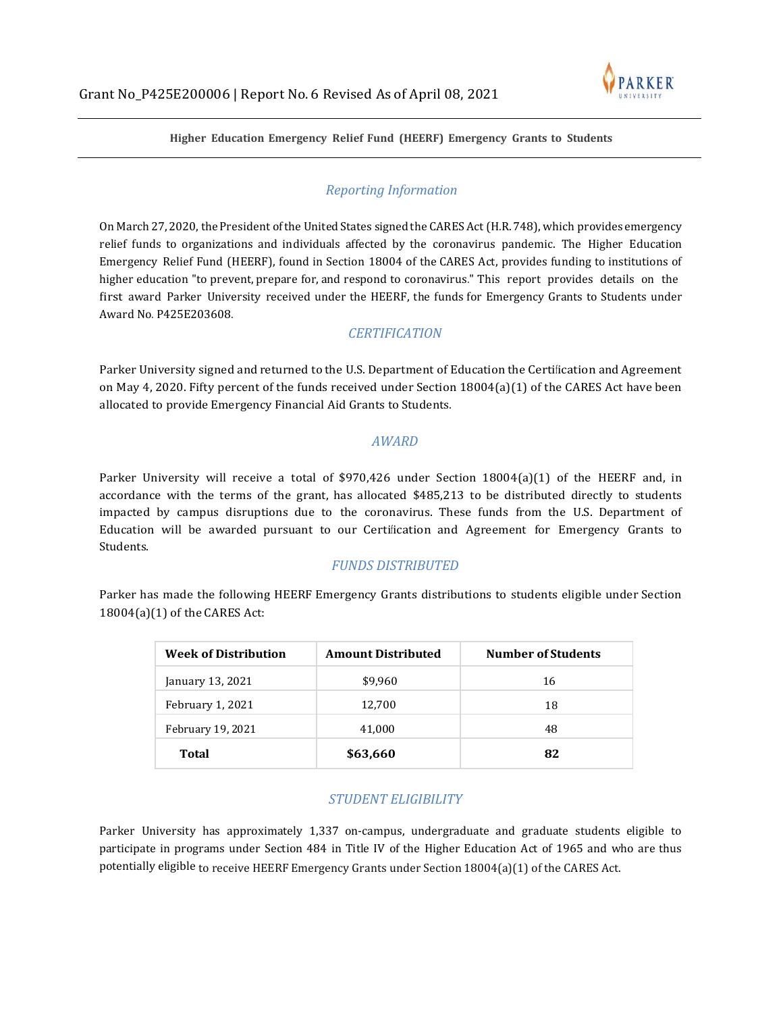

**Higher Education Emergency Relief Fund (HEERF) Emergency Grants to Students**

## *Reporting Information*

On March 27, 2020, the President of the United States signed the CARES Act (H.R. 748), which provides emergency relief funds to organizations and individuals affected by the coronavirus pandemic. The Higher Education Emergency Relief Fund (HEERF), found in Section 18004 of the CARES Act, provides funding to institutions of higher education "to prevent, prepare for, and respond to coronavirus." This report provides details on the first award Parker University received under the HEERF, the funds for Emergency Grants to Students under Award No. P425E203608.

## *CERTIFICATION*

Parker University signed and returned to the U.S. Department of Education the Certification and Agreement on May 4, 2020. Fifty percent of the funds received under Section 18004(a)(1) of the CARES Act have been allocated to provide Emergency Financial Aid Grants to Students.

#### *AWARD*

Parker University will receive a total of \$970,426 under Section 18004(a)(1) of the HEERF and, in accordance with the terms of the grant, has allocated \$485,213 to be distributed directly to students impacted by campus disruptions due to the coronavirus. These funds from the U.S. Department of Education will be awarded pursuant to our Certi�ication and Agreement for Emergency Grants to Students.

### *FUNDS DISTRIBUTED*

Parker has made the following HEERF Emergency Grants distributions to students eligible under Section 18004(a)(1) of the CARES Act:

| <b>Week of Distribution</b> | <b>Amount Distributed</b> | <b>Number of Students</b> |
|-----------------------------|---------------------------|---------------------------|
| January 13, 2021            | \$9,960                   | 16                        |
| February 1, 2021            | 12,700                    | 18                        |
| February 19, 2021           | 41,000                    | 48                        |
| Total                       | \$63,660                  | 82                        |

# *STUDENT ELIGIBILITY*

Parker University has approximately 1,337 on-campus, undergraduate and graduate students eligible to participate in programs under Section 484 in Title IV of the Higher Education Act of 1965 and who are thus potentially eligible to receive HEERF Emergency Grants under Section 18004(a)(1) of the CARES Act.